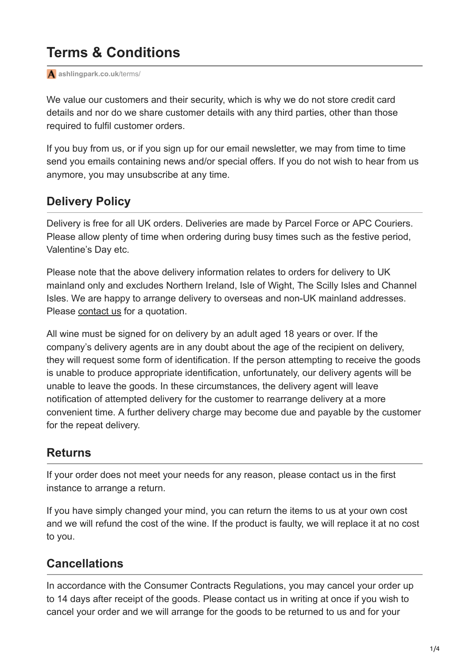# **Terms & Conditions**

**[ashlingpark.co.uk](https://www.ashlingpark.co.uk/terms/)**/terms/

We value our customers and their security, which is why we do not store credit card details and nor do we share customer details with any third parties, other than those required to fulfil customer orders.

If you buy from us, or if you sign up for our email newsletter, we may from time to time send you emails containing news and/or special offers. If you do not wish to hear from us anymore, you may unsubscribe at any time.

#### **Delivery Policy**

Delivery is free for all UK orders. Deliveries are made by Parcel Force or APC Couriers. Please allow plenty of time when ordering during busy times such as the festive period, Valentine's Day etc.

Please note that the above delivery information relates to orders for delivery to UK mainland only and excludes Northern Ireland, Isle of Wight, The Scilly Isles and Channel Isles. We are happy to arrange delivery to overseas and non-UK mainland addresses. Please [contact us](https://www.ashlingpark.co.uk/contact-us/) for a quotation.

All wine must be signed for on delivery by an adult aged 18 years or over. If the company's delivery agents are in any doubt about the age of the recipient on delivery, they will request some form of identification. If the person attempting to receive the goods is unable to produce appropriate identification, unfortunately, our delivery agents will be unable to leave the goods. In these circumstances, the delivery agent will leave notification of attempted delivery for the customer to rearrange delivery at a more convenient time. A further delivery charge may become due and payable by the customer for the repeat delivery.

#### **Returns**

If your order does not meet your needs for any reason, please contact us in the first instance to arrange a return.

If you have simply changed your mind, you can return the items to us at your own cost and we will refund the cost of the wine. If the product is faulty, we will replace it at no cost to you.

## **Cancellations**

In accordance with the Consumer Contracts Regulations, you may cancel your order up to 14 days after receipt of the goods. Please contact us in writing at once if you wish to cancel your order and we will arrange for the goods to be returned to us and for your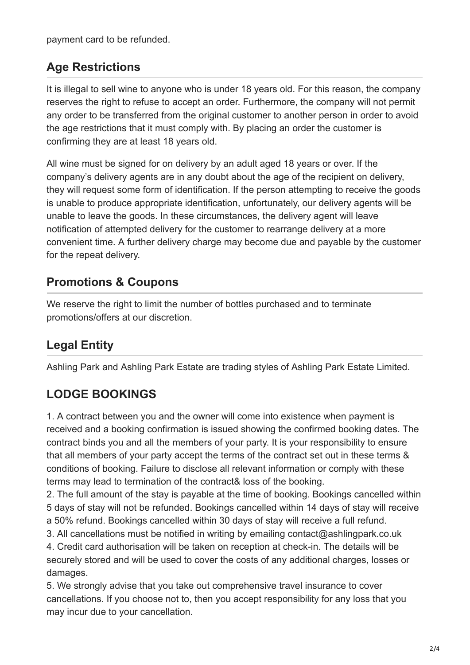payment card to be refunded.

#### **Age Restrictions**

It is illegal to sell wine to anyone who is under 18 years old. For this reason, the company reserves the right to refuse to accept an order. Furthermore, the company will not permit any order to be transferred from the original customer to another person in order to avoid the age restrictions that it must comply with. By placing an order the customer is confirming they are at least 18 years old.

All wine must be signed for on delivery by an adult aged 18 years or over. If the company's delivery agents are in any doubt about the age of the recipient on delivery, they will request some form of identification. If the person attempting to receive the goods is unable to produce appropriate identification, unfortunately, our delivery agents will be unable to leave the goods. In these circumstances, the delivery agent will leave notification of attempted delivery for the customer to rearrange delivery at a more convenient time. A further delivery charge may become due and payable by the customer for the repeat delivery.

#### **Promotions & Coupons**

We reserve the right to limit the number of bottles purchased and to terminate promotions/offers at our discretion.

# **Legal Entity**

Ashling Park and Ashling Park Estate are trading styles of Ashling Park Estate Limited.

## **LODGE BOOKINGS**

1. A contract between you and the owner will come into existence when payment is received and a booking confirmation is issued showing the confirmed booking dates. The contract binds you and all the members of your party. It is your responsibility to ensure that all members of your party accept the terms of the contract set out in these terms & conditions of booking. Failure to disclose all relevant information or comply with these terms may lead to termination of the contract& loss of the booking.

2. The full amount of the stay is payable at the time of booking. Bookings cancelled within 5 days of stay will not be refunded. Bookings cancelled within 14 days of stay will receive a 50% refund. Bookings cancelled within 30 days of stay will receive a full refund.

3. All cancellations must be notified in writing by emailing contact@ashlingpark.co.uk

4. Credit card authorisation will be taken on reception at check-in. The details will be securely stored and will be used to cover the costs of any additional charges, losses or damages.

5. We strongly advise that you take out comprehensive travel insurance to cover cancellations. If you choose not to, then you accept responsibility for any loss that you may incur due to your cancellation.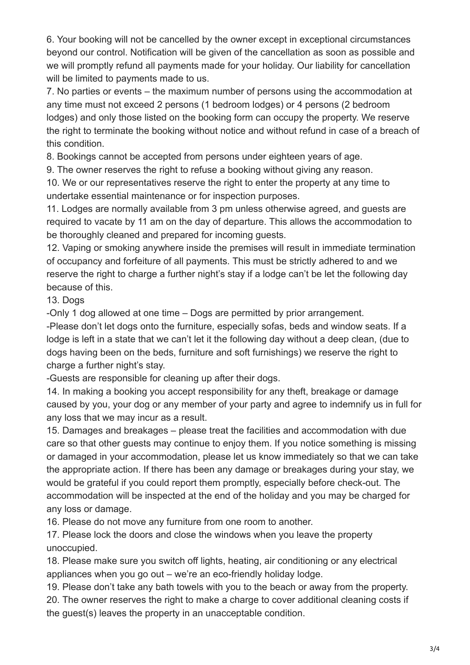6. Your booking will not be cancelled by the owner except in exceptional circumstances beyond our control. Notification will be given of the cancellation as soon as possible and we will promptly refund all payments made for your holiday. Our liability for cancellation will be limited to payments made to us.

7. No parties or events – the maximum number of persons using the accommodation at any time must not exceed 2 persons (1 bedroom lodges) or 4 persons (2 bedroom lodges) and only those listed on the booking form can occupy the property. We reserve the right to terminate the booking without notice and without refund in case of a breach of this condition.

8. Bookings cannot be accepted from persons under eighteen years of age.

9. The owner reserves the right to refuse a booking without giving any reason.

10. We or our representatives reserve the right to enter the property at any time to undertake essential maintenance or for inspection purposes.

11. Lodges are normally available from 3 pm unless otherwise agreed, and guests are required to vacate by 11 am on the day of departure. This allows the accommodation to be thoroughly cleaned and prepared for incoming guests.

12. Vaping or smoking anywhere inside the premises will result in immediate termination of occupancy and forfeiture of all payments. This must be strictly adhered to and we reserve the right to charge a further night's stay if a lodge can't be let the following day because of this.

13. Dogs

-Only 1 dog allowed at one time – Dogs are permitted by prior arrangement.

-Please don't let dogs onto the furniture, especially sofas, beds and window seats. If a lodge is left in a state that we can't let it the following day without a deep clean, (due to dogs having been on the beds, furniture and soft furnishings) we reserve the right to charge a further night's stay.

-Guests are responsible for cleaning up after their dogs.

14. In making a booking you accept responsibility for any theft, breakage or damage caused by you, your dog or any member of your party and agree to indemnify us in full for any loss that we may incur as a result.

15. Damages and breakages – please treat the facilities and accommodation with due care so that other guests may continue to enjoy them. If you notice something is missing or damaged in your accommodation, please let us know immediately so that we can take the appropriate action. If there has been any damage or breakages during your stay, we would be grateful if you could report them promptly, especially before check-out. The accommodation will be inspected at the end of the holiday and you may be charged for any loss or damage.

16. Please do not move any furniture from one room to another.

17. Please lock the doors and close the windows when you leave the property unoccupied.

18. Please make sure you switch off lights, heating, air conditioning or any electrical appliances when you go out – we're an eco-friendly holiday lodge.

19. Please don't take any bath towels with you to the beach or away from the property. 20. The owner reserves the right to make a charge to cover additional cleaning costs if the guest(s) leaves the property in an unacceptable condition.